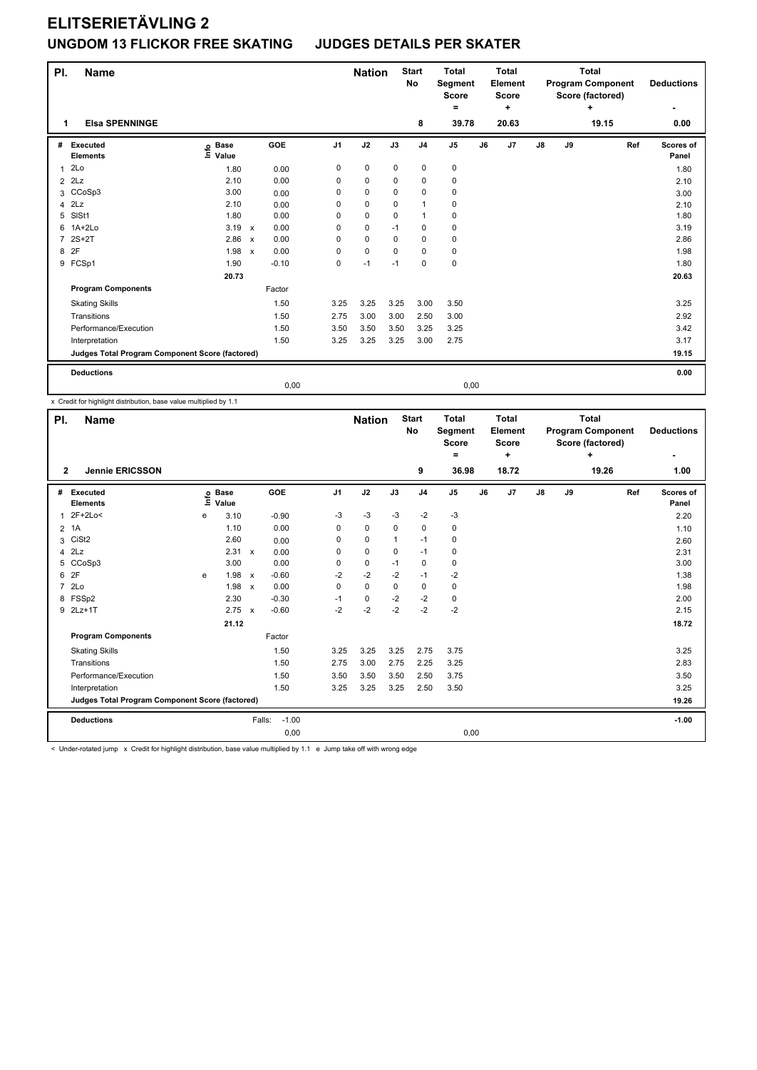| PI.            | <b>Name</b>                                     |                                  |                                   |                | <b>Nation</b> |             | <b>Start</b><br><b>No</b> | <b>Total</b><br>Segment<br><b>Score</b> |    | <b>Total</b><br>Element<br><b>Score</b> | <b>Total</b><br><b>Program Component</b><br>Score (factored)<br>÷ |    |       |     | <b>Deductions</b>  |
|----------------|-------------------------------------------------|----------------------------------|-----------------------------------|----------------|---------------|-------------|---------------------------|-----------------------------------------|----|-----------------------------------------|-------------------------------------------------------------------|----|-------|-----|--------------------|
|                |                                                 |                                  |                                   |                |               |             |                           | =                                       |    | ÷                                       |                                                                   |    |       |     | ٠                  |
| 1              | <b>Elsa SPENNINGE</b>                           |                                  |                                   |                |               |             | 8                         | 39.78                                   |    | 20.63                                   |                                                                   |    | 19.15 |     | 0.00               |
| #              | Executed<br><b>Elements</b>                     | <b>Base</b><br>e Base<br>⊑ Value | GOE                               | J <sub>1</sub> | J2            | J3          | J <sub>4</sub>            | J <sub>5</sub>                          | J6 | J7                                      | $\mathsf{J}8$                                                     | J9 |       | Ref | Scores of<br>Panel |
| 1              | 2Lo                                             | 1.80                             | 0.00                              | 0              | $\pmb{0}$     | $\mathbf 0$ | 0                         | $\pmb{0}$                               |    |                                         |                                                                   |    |       |     | 1.80               |
| $\overline{2}$ | 2Lz                                             | 2.10                             | 0.00                              | 0              | $\mathbf 0$   | $\mathbf 0$ | $\mathbf 0$               | $\pmb{0}$                               |    |                                         |                                                                   |    |       |     | 2.10               |
| 3              | CCoSp3                                          | 3.00                             | 0.00                              | 0              | $\mathbf 0$   | $\Omega$    | 0                         | 0                                       |    |                                         |                                                                   |    |       |     | 3.00               |
| 4              | 2Lz                                             | 2.10                             | 0.00                              | 0              | $\mathbf 0$   | $\Omega$    | $\mathbf{1}$              | $\mathbf 0$                             |    |                                         |                                                                   |    |       |     | 2.10               |
| 5              | SISt1                                           | 1.80                             | 0.00                              | 0              | $\mathbf 0$   | $\mathbf 0$ | $\mathbf{1}$              | 0                                       |    |                                         |                                                                   |    |       |     | 1.80               |
| 6              | 1A+2Lo                                          | 3.19                             | 0.00<br>$\boldsymbol{\mathsf{x}}$ | 0              | $\mathbf 0$   | $-1$        | $\pmb{0}$                 | 0                                       |    |                                         |                                                                   |    |       |     | 3.19               |
| $\overline{7}$ | $2S+2T$                                         | 2.86                             | 0.00<br>$\mathsf{x}$              | 0              | $\mathbf 0$   | $\Omega$    | $\mathbf 0$               | 0                                       |    |                                         |                                                                   |    |       |     | 2.86               |
| 8              | 2F                                              | 1.98                             | 0.00<br>$\mathsf{x}$              | 0              | $\mathbf 0$   | $\mathbf 0$ | $\mathbf 0$               | $\pmb{0}$                               |    |                                         |                                                                   |    |       |     | 1.98               |
|                | 9 FCSp1                                         | 1.90                             | $-0.10$                           | 0              | $-1$          | $-1$        | $\pmb{0}$                 | $\pmb{0}$                               |    |                                         |                                                                   |    |       |     | 1.80               |
|                |                                                 | 20.73                            |                                   |                |               |             |                           |                                         |    |                                         |                                                                   |    |       |     | 20.63              |
|                | <b>Program Components</b>                       |                                  | Factor                            |                |               |             |                           |                                         |    |                                         |                                                                   |    |       |     |                    |
|                | <b>Skating Skills</b>                           |                                  | 1.50                              | 3.25           | 3.25          | 3.25        | 3.00                      | 3.50                                    |    |                                         |                                                                   |    |       |     | 3.25               |
|                | Transitions                                     |                                  | 1.50                              | 2.75           | 3.00          | 3.00        | 2.50                      | 3.00                                    |    |                                         |                                                                   |    |       |     | 2.92               |
|                | Performance/Execution                           |                                  | 1.50                              | 3.50           | 3.50          | 3.50        | 3.25                      | 3.25                                    |    |                                         |                                                                   |    |       |     | 3.42               |
|                | Interpretation                                  |                                  | 1.50                              | 3.25           | 3.25          | 3.25        | 3.00                      | 2.75                                    |    |                                         |                                                                   |    |       |     | 3.17               |
|                | Judges Total Program Component Score (factored) |                                  |                                   |                |               |             |                           |                                         |    |                                         |                                                                   |    |       |     | 19.15              |
|                | <b>Deductions</b>                               |                                  |                                   |                |               |             |                           |                                         |    |                                         |                                                                   |    |       |     | 0.00               |
|                |                                                 |                                  | 0,00                              |                |               |             |                           | 0,00                                    |    |                                         |                                                                   |    |       |     |                    |

x Credit for highlight distribution, base value multiplied by 1.1

| PI.            | <b>Name</b>                                     |   |                            |                         |                | <b>Nation</b> |      | <b>Start</b><br>No | <b>Total</b><br>Segment<br><b>Score</b><br>۰ |    | Total<br>Element<br><b>Score</b><br>÷ |            |    | <b>Total</b><br><b>Program Component</b><br>Score (factored)<br>+ | <b>Deductions</b> |                    |
|----------------|-------------------------------------------------|---|----------------------------|-------------------------|----------------|---------------|------|--------------------|----------------------------------------------|----|---------------------------------------|------------|----|-------------------------------------------------------------------|-------------------|--------------------|
| $\mathbf{2}$   | <b>Jennie ERICSSON</b>                          |   |                            |                         |                |               |      | 9                  | 36.98                                        |    | 18.72                                 |            |    | 19.26                                                             |                   | 1.00               |
| #              | Executed<br><b>Elements</b>                     |   | e Base<br>E Value<br>Value | GOE                     | J <sub>1</sub> | J2            | J3   | J <sub>4</sub>     | J5                                           | J6 | J7                                    | ${\sf J8}$ | J9 |                                                                   | Ref               | Scores of<br>Panel |
| $\mathbf{1}$   | $2F+2Lo<$                                       | е | 3.10                       | $-0.90$                 | $-3$           | $-3$          | $-3$ | $-2$               | $-3$                                         |    |                                       |            |    |                                                                   |                   | 2.20               |
| $\overline{2}$ | 1A                                              |   | 1.10                       | 0.00                    | 0              | 0             | 0    | 0                  | 0                                            |    |                                       |            |    |                                                                   |                   | 1.10               |
| 3              | CiSt <sub>2</sub>                               |   | 2.60                       | 0.00                    | 0              | 0             |      | $-1$               | 0                                            |    |                                       |            |    |                                                                   |                   | 2.60               |
|                | $4$ $2Lz$                                       |   | 2.31 x                     | 0.00                    | 0              | 0             | 0    | $-1$               | 0                                            |    |                                       |            |    |                                                                   |                   | 2.31               |
|                | 5 CCoSp3                                        |   | 3.00                       | 0.00                    | 0              | $\pmb{0}$     | $-1$ | 0                  | 0                                            |    |                                       |            |    |                                                                   |                   | 3.00               |
|                | 6 2F                                            | e | 1.98                       | $-0.60$<br>$\mathbf{x}$ | $-2$           | $-2$          | $-2$ | $-1$               | $-2$                                         |    |                                       |            |    |                                                                   |                   | 1.38               |
| $\overline{7}$ | 2Lo                                             |   | 1.98                       | 0.00<br>$\mathbf{x}$    | 0              | $\mathbf 0$   | 0    | 0                  | 0                                            |    |                                       |            |    |                                                                   |                   | 1.98               |
| 8              | FSSp2                                           |   | 2.30                       | $-0.30$                 | $-1$           | $\pmb{0}$     | $-2$ | $-2$               | 0                                            |    |                                       |            |    |                                                                   |                   | 2.00               |
|                | 9 2Lz+1T                                        |   | $2.75 \times$              | $-0.60$                 | $-2$           | $-2$          | $-2$ | $-2$               | $-2$                                         |    |                                       |            |    |                                                                   |                   | 2.15               |
|                |                                                 |   | 21.12                      |                         |                |               |      |                    |                                              |    |                                       |            |    |                                                                   |                   | 18.72              |
|                | <b>Program Components</b>                       |   |                            | Factor                  |                |               |      |                    |                                              |    |                                       |            |    |                                                                   |                   |                    |
|                | <b>Skating Skills</b>                           |   |                            | 1.50                    | 3.25           | 3.25          | 3.25 | 2.75               | 3.75                                         |    |                                       |            |    |                                                                   |                   | 3.25               |
|                | Transitions                                     |   |                            | 1.50                    | 2.75           | 3.00          | 2.75 | 2.25               | 3.25                                         |    |                                       |            |    |                                                                   |                   | 2.83               |
|                | Performance/Execution                           |   |                            | 1.50                    | 3.50           | 3.50          | 3.50 | 2.50               | 3.75                                         |    |                                       |            |    |                                                                   |                   | 3.50               |
|                | Interpretation                                  |   |                            | 1.50                    | 3.25           | 3.25          | 3.25 | 2.50               | 3.50                                         |    |                                       |            |    |                                                                   |                   | 3.25               |
|                | Judges Total Program Component Score (factored) |   |                            |                         |                |               |      |                    |                                              |    |                                       |            |    |                                                                   |                   | 19.26              |
|                | <b>Deductions</b>                               |   |                            | $-1.00$<br>Falls:       |                |               |      |                    |                                              |    |                                       |            |    |                                                                   |                   | $-1.00$            |
|                |                                                 |   |                            |                         | 0,00           |               |      |                    | 0,00                                         |    |                                       |            |    |                                                                   |                   |                    |

< Under-rotated jump x Credit for highlight distribution, base value multiplied by 1.1 e Jump take off with wrong edge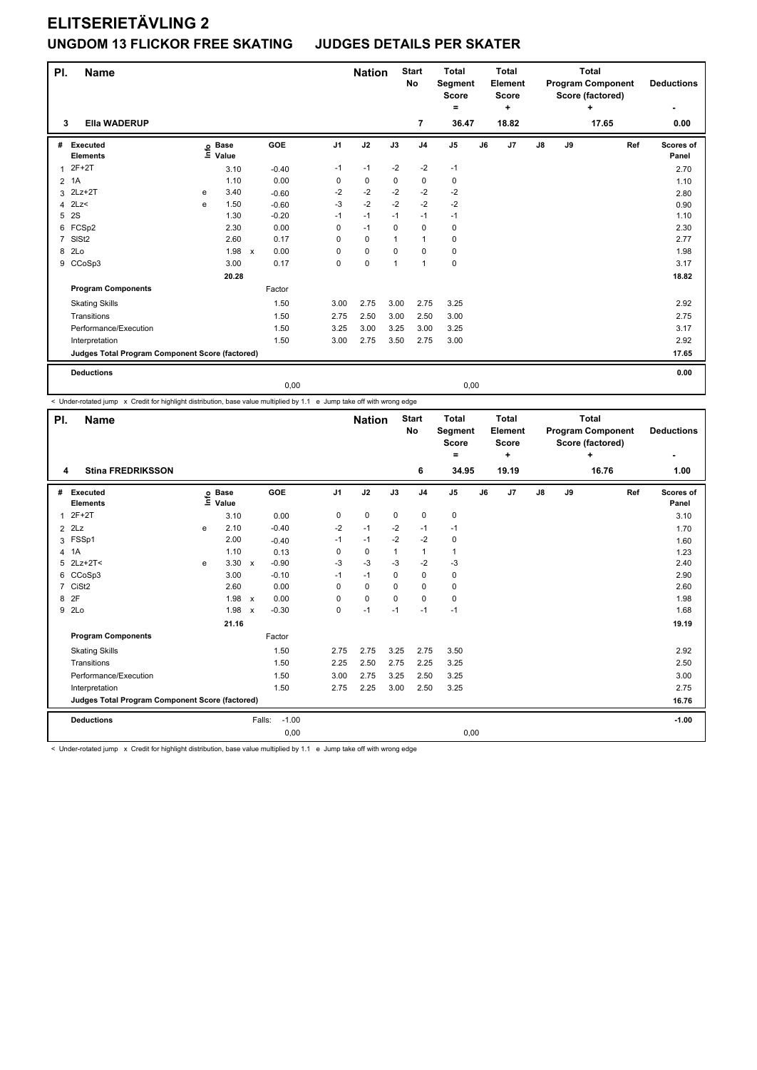| PI.            | <b>Name</b>                                     |   |             |                      |                | <b>Nation</b> |              | <b>Start</b><br><b>No</b> | <b>Total</b><br>Segment<br><b>Score</b> |    | <b>Total</b><br>Element<br>Score |    | <b>Program Component</b><br>Score (factored) | <b>Deductions</b> |     |           |
|----------------|-------------------------------------------------|---|-------------|----------------------|----------------|---------------|--------------|---------------------------|-----------------------------------------|----|----------------------------------|----|----------------------------------------------|-------------------|-----|-----------|
|                |                                                 |   |             |                      |                |               |              |                           | =                                       |    | ٠                                |    |                                              | ÷                 |     | ٠         |
| 3              | <b>Ella WADERUP</b>                             |   |             |                      |                |               |              | $\overline{7}$            | 36.47                                   |    | 18.82                            |    |                                              | 17.65             |     | 0.00      |
| #              | <b>Executed</b>                                 | e | <b>Base</b> | GOE                  | J <sub>1</sub> | J2            | J3           | J <sub>4</sub>            | J <sub>5</sub>                          | J6 | J <sub>7</sub>                   | J8 | J9                                           |                   | Ref | Scores of |
|                | <b>Elements</b>                                 |   | Value       |                      |                |               |              |                           |                                         |    |                                  |    |                                              |                   |     | Panel     |
| 1              | $2F+2T$                                         |   | 3.10        | $-0.40$              | $-1$           | $-1$          | $-2$         | $-2$                      | $-1$                                    |    |                                  |    |                                              |                   |     | 2.70      |
| $\overline{2}$ | 1A                                              |   | 1.10        | 0.00                 | 0              | 0             | 0            | $\mathbf 0$               | 0                                       |    |                                  |    |                                              |                   |     | 1.10      |
| 3              | $2Lz+2T$                                        | e | 3.40        | $-0.60$              | $-2$           | $-2$          | $-2$         | -2                        | $-2$                                    |    |                                  |    |                                              |                   |     | 2.80      |
| 4              | 2Lz                                             | e | 1.50        | $-0.60$              | $-3$           | $-2$          | $-2$         | $-2$                      | $-2$                                    |    |                                  |    |                                              |                   |     | 0.90      |
| 5              | 2S                                              |   | 1.30        | $-0.20$              | $-1$           | $-1$          | $-1$         | $-1$                      | $-1$                                    |    |                                  |    |                                              |                   |     | 1.10      |
| 6              | FCSp2                                           |   | 2.30        | 0.00                 | 0              | $-1$          | 0            | $\mathbf 0$               | 0                                       |    |                                  |    |                                              |                   |     | 2.30      |
| $\overline{7}$ | SISt <sub>2</sub>                               |   | 2.60        | 0.17                 | 0              | $\mathbf 0$   | 1            | $\mathbf{1}$              | $\mathbf 0$                             |    |                                  |    |                                              |                   |     | 2.77      |
| 8              | 2Lo                                             |   | 1.98        | 0.00<br>$\mathsf{x}$ | 0              | $\mathbf 0$   | $\Omega$     | 0                         | 0                                       |    |                                  |    |                                              |                   |     | 1.98      |
|                | 9 CCoSp3                                        |   | 3.00        | 0.17                 | 0              | $\mathbf 0$   | $\mathbf{1}$ | $\mathbf{1}$              | $\pmb{0}$                               |    |                                  |    |                                              |                   |     | 3.17      |
|                |                                                 |   | 20.28       |                      |                |               |              |                           |                                         |    |                                  |    |                                              |                   |     | 18.82     |
|                | <b>Program Components</b>                       |   |             | Factor               |                |               |              |                           |                                         |    |                                  |    |                                              |                   |     |           |
|                | <b>Skating Skills</b>                           |   |             | 1.50                 | 3.00           | 2.75          | 3.00         | 2.75                      | 3.25                                    |    |                                  |    |                                              |                   |     | 2.92      |
|                | Transitions                                     |   |             | 1.50                 | 2.75           | 2.50          | 3.00         | 2.50                      | 3.00                                    |    |                                  |    |                                              |                   |     | 2.75      |
|                | Performance/Execution                           |   |             | 1.50                 | 3.25           | 3.00          | 3.25         | 3.00                      | 3.25                                    |    |                                  |    |                                              |                   |     | 3.17      |
|                | Interpretation                                  |   |             | 1.50                 | 3.00           | 2.75          | 3.50         | 2.75                      | 3.00                                    |    |                                  |    |                                              |                   |     | 2.92      |
|                | Judges Total Program Component Score (factored) |   |             |                      |                |               |              |                           |                                         |    |                                  |    |                                              |                   |     | 17.65     |
|                | <b>Deductions</b>                               |   |             |                      |                |               |              |                           |                                         |    |                                  |    |                                              |                   |     | 0.00      |
|                |                                                 |   |             | 0,00                 |                |               |              |                           | 0,00                                    |    |                                  |    |                                              |                   |     |           |

< Under-rotated jump x Credit for highlight distribution, base value multiplied by 1.1 e Jump take off with wrong edge

| PI.            | <b>Name</b>                                     |      |                      |                           |         |                | <b>Nation</b> |          | <b>Start</b><br>No | <b>Total</b><br>Segment<br><b>Score</b><br>= |    | <b>Total</b><br>Element<br>Score<br>÷ |    | <b>Total</b><br><b>Program Component</b><br>Score (factored) | <b>Deductions</b> |     |                    |
|----------------|-------------------------------------------------|------|----------------------|---------------------------|---------|----------------|---------------|----------|--------------------|----------------------------------------------|----|---------------------------------------|----|--------------------------------------------------------------|-------------------|-----|--------------------|
| 4              | <b>Stina FREDRIKSSON</b>                        |      |                      |                           |         |                |               |          | 6                  | 34.95                                        |    | 19.19                                 |    |                                                              | 16.76             |     | 1.00               |
| #              | Executed<br><b>Elements</b>                     | ١nf٥ | <b>Base</b><br>Value | <b>GOE</b>                |         | J <sub>1</sub> | J2            | J3       | J <sub>4</sub>     | J <sub>5</sub>                               | J6 | J7                                    | J8 | J9                                                           |                   | Ref | Scores of<br>Panel |
| $\mathbf{1}$   | $2F+2T$                                         |      | 3.10                 |                           | 0.00    | 0              | $\pmb{0}$     | 0        | $\pmb{0}$          | 0                                            |    |                                       |    |                                                              |                   |     | 3.10               |
|                | $2$ $2Lz$                                       | e    | 2.10                 |                           | $-0.40$ | $-2$           | $-1$          | $-2$     | $-1$               | $-1$                                         |    |                                       |    |                                                              |                   |     | 1.70               |
|                | 3 FSSp1                                         |      | 2.00                 |                           | $-0.40$ | $-1$           | $-1$          | $-2$     | $-2$               | $\mathbf 0$                                  |    |                                       |    |                                                              |                   |     | 1.60               |
| 4              | 1A                                              |      | 1.10                 |                           | 0.13    | 0              | 0             | 1        | 1                  | $\mathbf{1}$                                 |    |                                       |    |                                                              |                   |     | 1.23               |
| 5              | $2Lz+2T<$                                       | e    | 3.30                 | $\mathsf{x}$              | $-0.90$ | $-3$           | $-3$          | -3       | -2                 | $-3$                                         |    |                                       |    |                                                              |                   |     | 2.40               |
| 6              | CCoSp3                                          |      | 3.00                 |                           | $-0.10$ | $-1$           | $-1$          | $\Omega$ | $\mathbf 0$        | 0                                            |    |                                       |    |                                                              |                   |     | 2.90               |
| $\overline{7}$ | CiSt <sub>2</sub>                               |      | 2.60                 |                           | 0.00    | 0              | $\mathbf 0$   | $\Omega$ | $\mathbf 0$        | 0                                            |    |                                       |    |                                                              |                   |     | 2.60               |
|                | 8 2F                                            |      | 1.98                 | $\boldsymbol{\mathsf{x}}$ | 0.00    | 0              | $\pmb{0}$     | $\Omega$ | $\mathbf 0$        | 0                                            |    |                                       |    |                                                              |                   |     | 1.98               |
|                | 9 2Lo                                           |      | 1.98                 | $\boldsymbol{\mathsf{x}}$ | $-0.30$ | 0              | $-1$          | $-1$     | $-1$               | $-1$                                         |    |                                       |    |                                                              |                   |     | 1.68               |
|                |                                                 |      | 21.16                |                           |         |                |               |          |                    |                                              |    |                                       |    |                                                              |                   |     | 19.19              |
|                | <b>Program Components</b>                       |      |                      |                           | Factor  |                |               |          |                    |                                              |    |                                       |    |                                                              |                   |     |                    |
|                | <b>Skating Skills</b>                           |      |                      |                           | 1.50    | 2.75           | 2.75          | 3.25     | 2.75               | 3.50                                         |    |                                       |    |                                                              |                   |     | 2.92               |
|                | Transitions                                     |      |                      |                           | 1.50    | 2.25           | 2.50          | 2.75     | 2.25               | 3.25                                         |    |                                       |    |                                                              |                   |     | 2.50               |
|                | Performance/Execution                           |      |                      |                           | 1.50    | 3.00           | 2.75          | 3.25     | 2.50               | 3.25                                         |    |                                       |    |                                                              |                   |     | 3.00               |
|                | Interpretation                                  |      |                      |                           | 1.50    | 2.75           | 2.25          | 3.00     | 2.50               | 3.25                                         |    |                                       |    |                                                              |                   |     | 2.75               |
|                | Judges Total Program Component Score (factored) |      |                      |                           |         |                |               |          |                    |                                              |    |                                       |    |                                                              |                   |     | 16.76              |
|                | <b>Deductions</b>                               |      |                      | Falls:                    | $-1.00$ |                |               |          |                    |                                              |    |                                       |    |                                                              |                   |     | $-1.00$            |
|                |                                                 |      |                      |                           | 0,00    |                |               |          |                    | 0,00                                         |    |                                       |    |                                                              |                   |     |                    |

< Under-rotated jump x Credit for highlight distribution, base value multiplied by 1.1 e Jump take off with wrong edge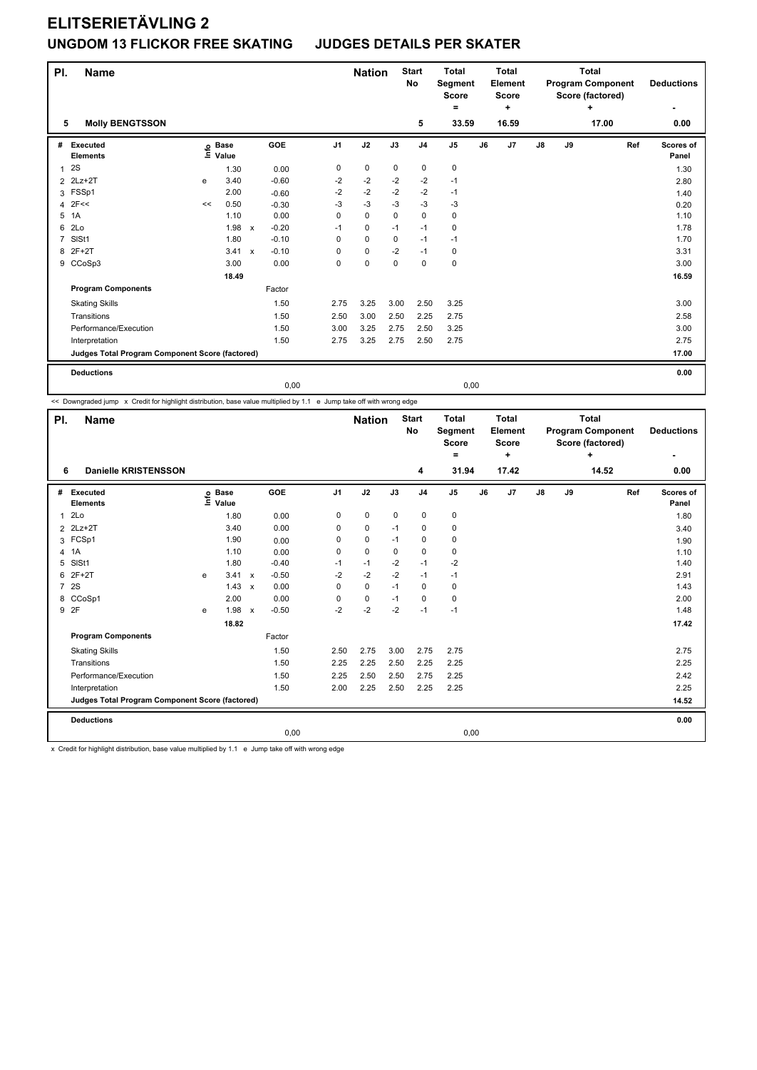| PI.            | <b>Name</b>                                     |    |             |              |         |                | <b>Nation</b> |          | <b>Start</b><br><b>No</b> | <b>Total</b><br>Segment<br><b>Score</b> |    | <b>Total</b><br><b>Element</b><br><b>Score</b> |    | <b>Program Component</b><br>Score (factored) |       | <b>Deductions</b> |           |
|----------------|-------------------------------------------------|----|-------------|--------------|---------|----------------|---------------|----------|---------------------------|-----------------------------------------|----|------------------------------------------------|----|----------------------------------------------|-------|-------------------|-----------|
|                |                                                 |    |             |              |         |                |               |          | 5                         | =                                       |    | ÷                                              |    |                                              | ÷     |                   | ٠         |
| 5              | <b>Molly BENGTSSON</b>                          |    |             |              |         |                |               |          |                           | 33.59                                   |    | 16.59                                          |    |                                              | 17.00 |                   | 0.00      |
| #              | Executed                                        | e  | <b>Base</b> |              | GOE     | J <sub>1</sub> | J2            | J3       | J <sub>4</sub>            | J <sub>5</sub>                          | J6 | J7                                             | J8 | J9                                           |       | Ref               | Scores of |
|                | <b>Elements</b>                                 |    | Value       |              |         |                |               |          |                           |                                         |    |                                                |    |                                              |       |                   | Panel     |
| 1              | 2S                                              |    | 1.30        |              | 0.00    | 0              | $\pmb{0}$     | 0        | 0                         | $\pmb{0}$                               |    |                                                |    |                                              |       |                   | 1.30      |
|                | 2 2Lz+2T                                        | e  | 3.40        |              | $-0.60$ | $-2$           | $-2$          | $-2$     | $-2$                      | $-1$                                    |    |                                                |    |                                              |       |                   | 2.80      |
| 3              | FSSp1                                           |    | 2.00        |              | $-0.60$ | $-2$           | $-2$          | $-2$     | $-2$                      | $-1$                                    |    |                                                |    |                                              |       |                   | 1.40      |
| 4              | 2F<<                                            | << | 0.50        |              | $-0.30$ | $-3$           | $-3$          | $-3$     | $-3$                      | $-3$                                    |    |                                                |    |                                              |       |                   | 0.20      |
| 5              | 1A                                              |    | 1.10        |              | 0.00    | 0              | $\mathbf 0$   | 0        | 0                         | 0                                       |    |                                                |    |                                              |       |                   | 1.10      |
| 6              | 2Lo                                             |    | 1.98        | $\mathsf{x}$ | $-0.20$ | $-1$           | $\mathbf 0$   | $-1$     | $-1$                      | 0                                       |    |                                                |    |                                              |       |                   | 1.78      |
| $\overline{7}$ | SISt1                                           |    | 1.80        |              | $-0.10$ | 0              | $\mathbf 0$   | $\Omega$ | $-1$                      | $-1$                                    |    |                                                |    |                                              |       |                   | 1.70      |
| 8              | $2F+2T$                                         |    | 3.41        | $\mathsf{x}$ | $-0.10$ | 0              | $\mathbf 0$   | $-2$     | $-1$                      | $\mathbf 0$                             |    |                                                |    |                                              |       |                   | 3.31      |
|                | 9 CCoSp3                                        |    | 3.00        |              | 0.00    | 0              | $\pmb{0}$     | 0        | $\pmb{0}$                 | $\pmb{0}$                               |    |                                                |    |                                              |       |                   | 3.00      |
|                |                                                 |    | 18.49       |              |         |                |               |          |                           |                                         |    |                                                |    |                                              |       |                   | 16.59     |
|                | <b>Program Components</b>                       |    |             |              | Factor  |                |               |          |                           |                                         |    |                                                |    |                                              |       |                   |           |
|                | <b>Skating Skills</b>                           |    |             |              | 1.50    | 2.75           | 3.25          | 3.00     | 2.50                      | 3.25                                    |    |                                                |    |                                              |       |                   | 3.00      |
|                | Transitions                                     |    |             |              | 1.50    | 2.50           | 3.00          | 2.50     | 2.25                      | 2.75                                    |    |                                                |    |                                              |       |                   | 2.58      |
|                | Performance/Execution                           |    |             |              | 1.50    | 3.00           | 3.25          | 2.75     | 2.50                      | 3.25                                    |    |                                                |    |                                              |       |                   | 3.00      |
|                | Interpretation                                  |    |             |              | 1.50    | 2.75           | 3.25          | 2.75     | 2.50                      | 2.75                                    |    |                                                |    |                                              |       |                   | 2.75      |
|                | Judges Total Program Component Score (factored) |    |             |              |         |                |               |          |                           |                                         |    |                                                |    |                                              |       |                   | 17.00     |
|                | <b>Deductions</b>                               |    |             |              |         |                |               |          |                           |                                         |    |                                                |    |                                              |       |                   | 0.00      |
|                |                                                 |    |             |              | 0,00    |                |               |          |                           | 0,00                                    |    |                                                |    |                                              |       |                   |           |

<< Downgraded jump x Credit for highlight distribution, base value multiplied by 1.1 e Jump take off with wrong edge

| PI.            | <b>Name</b>                                                                                                                                                                                                                    |   |                            |                           |         |                | <b>Nation</b> |      | <b>Start</b><br>No | <b>Total</b><br>Segment<br><b>Score</b><br>$\equiv$ |    | <b>Total</b><br>Element<br><b>Score</b><br>٠ |               | <b>Total</b><br><b>Program Component</b><br>Score (factored) |            | <b>Deductions</b><br>٠ |                    |
|----------------|--------------------------------------------------------------------------------------------------------------------------------------------------------------------------------------------------------------------------------|---|----------------------------|---------------------------|---------|----------------|---------------|------|--------------------|-----------------------------------------------------|----|----------------------------------------------|---------------|--------------------------------------------------------------|------------|------------------------|--------------------|
| 6              | <b>Danielle KRISTENSSON</b>                                                                                                                                                                                                    |   |                            |                           |         |                |               |      | 4                  | 31.94                                               |    | 17.42                                        |               |                                                              | ÷<br>14.52 |                        | 0.00               |
| #              | <b>Executed</b><br><b>Elements</b>                                                                                                                                                                                             |   | e Base<br>⊆ Value<br>Value |                           | GOE     | J <sub>1</sub> | J2            | J3   | J <sub>4</sub>     | J <sub>5</sub>                                      | J6 | J7                                           | $\mathsf{J}8$ | J9                                                           |            | Ref                    | Scores of<br>Panel |
| 1              | 2Lo                                                                                                                                                                                                                            |   | 1.80                       |                           | 0.00    | 0              | $\pmb{0}$     | 0    | $\pmb{0}$          | 0                                                   |    |                                              |               |                                                              |            |                        | 1.80               |
|                | 2 2Lz+2T                                                                                                                                                                                                                       |   | 3.40                       |                           | 0.00    | 0              | $\pmb{0}$     | $-1$ | $\pmb{0}$          | 0                                                   |    |                                              |               |                                                              |            |                        | 3.40               |
|                | 3 FCSp1                                                                                                                                                                                                                        |   | 1.90                       |                           | 0.00    | 0              | $\mathbf 0$   | $-1$ | $\mathbf 0$        | 0                                                   |    |                                              |               |                                                              |            |                        | 1.90               |
| $\overline{4}$ | 1A                                                                                                                                                                                                                             |   | 1.10                       |                           | 0.00    | 0              | $\mathbf 0$   | 0    | 0                  | 0                                                   |    |                                              |               |                                                              |            |                        | 1.10               |
| 5              | SISt1                                                                                                                                                                                                                          |   | 1.80                       |                           | $-0.40$ | $-1$           | $-1$          | $-2$ | $-1$               | $-2$                                                |    |                                              |               |                                                              |            |                        | 1.40               |
| 6              | $2F+2T$                                                                                                                                                                                                                        | e | 3.41                       | $\mathsf{x}$              | $-0.50$ | $-2$           | $-2$          | $-2$ | $-1$               | $-1$                                                |    |                                              |               |                                                              |            |                        | 2.91               |
| $\overline{7}$ | <b>2S</b>                                                                                                                                                                                                                      |   | 1.43                       | $\mathsf{x}$              | 0.00    | 0              | $\mathbf 0$   | $-1$ | $\mathbf 0$        | 0                                                   |    |                                              |               |                                                              |            |                        | 1.43               |
| 8              | CCoSp1                                                                                                                                                                                                                         |   | 2.00                       |                           | 0.00    | 0              | $\pmb{0}$     | $-1$ | $\mathbf 0$        | $\pmb{0}$                                           |    |                                              |               |                                                              |            |                        | 2.00               |
|                | 9 2F                                                                                                                                                                                                                           | e | 1.98                       | $\boldsymbol{\mathsf{x}}$ | $-0.50$ | $-2$           | $-2$          | $-2$ | $-1$               | $-1$                                                |    |                                              |               |                                                              |            |                        | 1.48               |
|                |                                                                                                                                                                                                                                |   | 18.82                      |                           |         |                |               |      |                    |                                                     |    |                                              |               |                                                              |            |                        | 17.42              |
|                | <b>Program Components</b>                                                                                                                                                                                                      |   |                            |                           | Factor  |                |               |      |                    |                                                     |    |                                              |               |                                                              |            |                        |                    |
|                | <b>Skating Skills</b>                                                                                                                                                                                                          |   |                            |                           | 1.50    | 2.50           | 2.75          | 3.00 | 2.75               | 2.75                                                |    |                                              |               |                                                              |            |                        | 2.75               |
|                | Transitions                                                                                                                                                                                                                    |   |                            |                           | 1.50    | 2.25           | 2.25          | 2.50 | 2.25               | 2.25                                                |    |                                              |               |                                                              |            |                        | 2.25               |
|                | Performance/Execution                                                                                                                                                                                                          |   |                            |                           | 1.50    | 2.25           | 2.50          | 2.50 | 2.75               | 2.25                                                |    |                                              |               |                                                              |            |                        | 2.42               |
|                | Interpretation                                                                                                                                                                                                                 |   |                            |                           | 1.50    | 2.00           | 2.25          | 2.50 | 2.25               | 2.25                                                |    |                                              |               |                                                              |            |                        | 2.25               |
|                | Judges Total Program Component Score (factored)                                                                                                                                                                                |   |                            |                           |         |                |               |      |                    |                                                     |    |                                              |               |                                                              |            |                        | 14.52              |
|                | <b>Deductions</b>                                                                                                                                                                                                              |   |                            |                           |         |                |               |      |                    |                                                     |    |                                              |               |                                                              |            |                        | 0.00               |
|                |                                                                                                                                                                                                                                |   |                            |                           | 0,00    |                |               |      |                    | 0,00                                                |    |                                              |               |                                                              |            |                        |                    |
|                | A determination of the contract of the contract of the contract of the contract of the contract of the contract of the contract of the contract of the contract of the contract of the contract of the contract of the contrac |   |                            |                           |         | $\sim$         |               |      |                    |                                                     |    |                                              |               |                                                              |            |                        |                    |

x Credit for highlight distribution, base value multiplied by 1.1 e Jump take off with wrong edge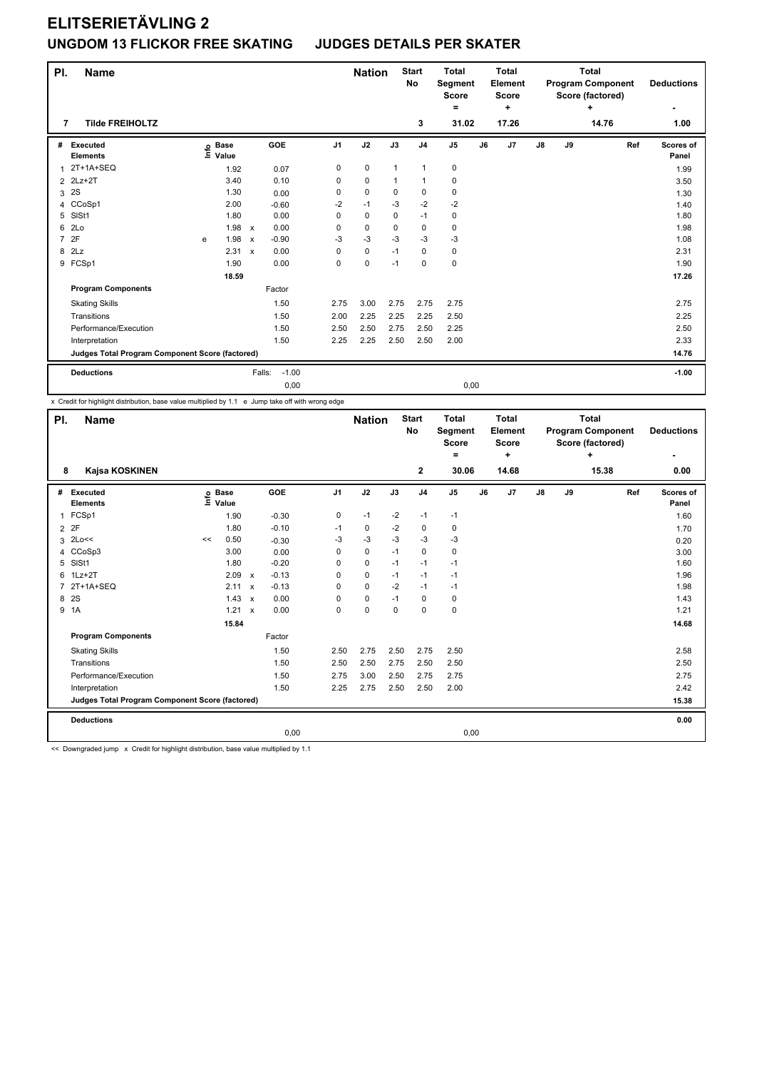| PI.            | <b>Name</b>                                     |   |                                  |                           |                   |                | <b>Nation</b> |              | <b>Start</b><br><b>No</b> | <b>Total</b><br>Segment<br><b>Score</b><br>Ξ. |    | <b>Total</b><br><b>Element</b><br>Score<br>÷ | <b>Total</b><br><b>Program Component</b><br>Score (factored)<br>÷<br>14.76 |    |  |     | <b>Deductions</b>  |
|----------------|-------------------------------------------------|---|----------------------------------|---------------------------|-------------------|----------------|---------------|--------------|---------------------------|-----------------------------------------------|----|----------------------------------------------|----------------------------------------------------------------------------|----|--|-----|--------------------|
| 7              | <b>Tilde FREIHOLTZ</b>                          |   |                                  |                           |                   |                |               |              | 3                         | 31.02                                         |    | 17.26                                        |                                                                            |    |  |     | 1.00               |
| #              | Executed<br><b>Elements</b>                     |   | <b>Base</b><br>e Base<br>⊑ Value |                           | GOE               | J <sub>1</sub> | J2            | J3           | J <sub>4</sub>            | J <sub>5</sub>                                | J6 | J7                                           | $\mathsf{J}8$                                                              | J9 |  | Ref | Scores of<br>Panel |
|                | $2T+1A+SEQ$                                     |   | 1.92                             |                           | 0.07              | 0              | $\pmb{0}$     | $\mathbf{1}$ | 1                         | 0                                             |    |                                              |                                                                            |    |  |     | 1.99               |
| $\overline{2}$ | $2Lz+2T$                                        |   | 3.40                             |                           | 0.10              | 0              | $\pmb{0}$     | $\mathbf{1}$ | $\mathbf{1}$              | 0                                             |    |                                              |                                                                            |    |  |     | 3.50               |
| 3              | 2S                                              |   | 1.30                             |                           | 0.00              | 0              | $\mathbf 0$   | $\Omega$     | $\mathbf 0$               | $\mathbf 0$                                   |    |                                              |                                                                            |    |  |     | 1.30               |
| 4              | CCoSp1                                          |   | 2.00                             |                           | $-0.60$           | $-2$           | $-1$          | $-3$         | $-2$                      | $-2$                                          |    |                                              |                                                                            |    |  |     | 1.40               |
| 5              | SISt1                                           |   | 1.80                             |                           | 0.00              | 0              | 0             | 0            | $-1$                      | 0                                             |    |                                              |                                                                            |    |  |     | 1.80               |
| 6              | 2Lo                                             |   | 1.98                             | $\mathsf{x}$              | 0.00              | 0              | $\mathbf 0$   | $\Omega$     | $\pmb{0}$                 | 0                                             |    |                                              |                                                                            |    |  |     | 1.98               |
| $\overline{7}$ | 2F                                              | e | 1.98                             | $\boldsymbol{\mathsf{x}}$ | $-0.90$           | -3             | $-3$          | $-3$         | $-3$                      | $-3$                                          |    |                                              |                                                                            |    |  |     | 1.08               |
| 8              | 2Lz                                             |   | 2.31                             | $\mathsf{x}$              | 0.00              | 0              | $\pmb{0}$     | $-1$         | 0                         | 0                                             |    |                                              |                                                                            |    |  |     | 2.31               |
|                | 9 FCSp1                                         |   | 1.90                             |                           | 0.00              | 0              | $\pmb{0}$     | $-1$         | 0                         | $\pmb{0}$                                     |    |                                              |                                                                            |    |  |     | 1.90               |
|                |                                                 |   | 18.59                            |                           |                   |                |               |              |                           |                                               |    |                                              |                                                                            |    |  |     | 17.26              |
|                | <b>Program Components</b>                       |   |                                  |                           | Factor            |                |               |              |                           |                                               |    |                                              |                                                                            |    |  |     |                    |
|                | <b>Skating Skills</b>                           |   |                                  |                           | 1.50              | 2.75           | 3.00          | 2.75         | 2.75                      | 2.75                                          |    |                                              |                                                                            |    |  |     | 2.75               |
|                | Transitions                                     |   |                                  |                           | 1.50              | 2.00           | 2.25          | 2.25         | 2.25                      | 2.50                                          |    |                                              |                                                                            |    |  |     | 2.25               |
|                | Performance/Execution                           |   |                                  |                           | 1.50              | 2.50           | 2.50          | 2.75         | 2.50                      | 2.25                                          |    |                                              |                                                                            |    |  |     | 2.50               |
|                | Interpretation                                  |   |                                  |                           | 1.50              | 2.25           | 2.25          | 2.50         | 2.50                      | 2.00                                          |    |                                              |                                                                            |    |  |     | 2.33               |
|                | Judges Total Program Component Score (factored) |   |                                  |                           |                   |                |               |              |                           |                                               |    |                                              |                                                                            |    |  |     | 14.76              |
|                | <b>Deductions</b>                               |   |                                  |                           | $-1.00$<br>Falls: |                |               |              |                           |                                               |    |                                              |                                                                            |    |  |     | $-1.00$            |
|                |                                                 |   |                                  |                           | 0,00              |                |               |              |                           | 0,00                                          |    |                                              |                                                                            |    |  |     |                    |

x Credit for highlight distribution, base value multiplied by 1.1 e Jump take off with wrong edge

| PI. | <b>Name</b>                                     |    |                            |                           |            |                | <b>Nation</b> |             | <b>Start</b><br>No | <b>Total</b><br>Segment<br><b>Score</b><br>۰ |    | <b>Total</b><br>Element<br><b>Score</b><br>٠ |               |    | <b>Total</b><br><b>Program Component</b><br>Score (factored)<br>÷ | <b>Deductions</b> |                           |
|-----|-------------------------------------------------|----|----------------------------|---------------------------|------------|----------------|---------------|-------------|--------------------|----------------------------------------------|----|----------------------------------------------|---------------|----|-------------------------------------------------------------------|-------------------|---------------------------|
| 8   | Kajsa KOSKINEN                                  |    |                            |                           |            |                |               |             | 2                  | 30.06                                        |    | 14.68                                        |               |    | 15.38                                                             |                   | 0.00                      |
| #   | Executed<br><b>Elements</b>                     |    | e Base<br>E Value<br>Value |                           | <b>GOE</b> | J <sub>1</sub> | J2            | J3          | J <sub>4</sub>     | J <sub>5</sub>                               | J6 | J7                                           | $\mathsf{J}8$ | J9 |                                                                   | Ref               | <b>Scores of</b><br>Panel |
| 1   | FCSp1                                           |    | 1.90                       |                           | $-0.30$    | 0              | $-1$          | $-2$        | $-1$               | $-1$                                         |    |                                              |               |    |                                                                   |                   | 1.60                      |
|     | 2 2F                                            |    | 1.80                       |                           | $-0.10$    | $-1$           | 0             | $-2$        | 0                  | 0                                            |    |                                              |               |    |                                                                   |                   | 1.70                      |
|     | $3$ 2Lo $<<$                                    | << | 0.50                       |                           | $-0.30$    | $-3$           | $-3$          | $-3$        | -3                 | $-3$                                         |    |                                              |               |    |                                                                   |                   | 0.20                      |
| 4   | CCoSp3                                          |    | 3.00                       |                           | 0.00       | 0              | $\mathbf 0$   | $-1$        | $\mathbf 0$        | 0                                            |    |                                              |               |    |                                                                   |                   | 3.00                      |
| 5   | SISt1                                           |    | 1.80                       |                           | $-0.20$    | 0              | $\pmb{0}$     | $-1$        | $-1$               | $-1$                                         |    |                                              |               |    |                                                                   |                   | 1.60                      |
| 6   | $1Lz + 2T$                                      |    | 2.09                       | $\boldsymbol{\mathsf{x}}$ | $-0.13$    | 0              | $\mathbf 0$   | $-1$        | $-1$               | $-1$                                         |    |                                              |               |    |                                                                   |                   | 1.96                      |
| 7   | $2T+1A+SEQ$                                     |    | 2.11                       | $\boldsymbol{\mathsf{x}}$ | $-0.13$    | 0              | $\mathbf 0$   | $-2$        | $-1$               | $-1$                                         |    |                                              |               |    |                                                                   |                   | 1.98                      |
| 8   | <b>2S</b>                                       |    | 1.43                       | $\boldsymbol{\mathsf{x}}$ | 0.00       | 0              | $\mathbf 0$   | $-1$        | 0                  | 0                                            |    |                                              |               |    |                                                                   |                   | 1.43                      |
|     | 9 1A                                            |    | $1.21 \times$              |                           | 0.00       | 0              | $\mathbf 0$   | $\mathbf 0$ | $\mathbf 0$        | $\pmb{0}$                                    |    |                                              |               |    |                                                                   |                   | 1.21                      |
|     |                                                 |    | 15.84                      |                           |            |                |               |             |                    |                                              |    |                                              |               |    |                                                                   |                   | 14.68                     |
|     | <b>Program Components</b>                       |    |                            |                           | Factor     |                |               |             |                    |                                              |    |                                              |               |    |                                                                   |                   |                           |
|     | <b>Skating Skills</b>                           |    |                            |                           | 1.50       | 2.50           | 2.75          | 2.50        | 2.75               | 2.50                                         |    |                                              |               |    |                                                                   |                   | 2.58                      |
|     | Transitions                                     |    |                            |                           | 1.50       | 2.50           | 2.50          | 2.75        | 2.50               | 2.50                                         |    |                                              |               |    |                                                                   |                   | 2.50                      |
|     | Performance/Execution                           |    |                            |                           | 1.50       | 2.75           | 3.00          | 2.50        | 2.75               | 2.75                                         |    |                                              |               |    |                                                                   |                   | 2.75                      |
|     | Interpretation                                  |    |                            |                           | 1.50       | 2.25           | 2.75          | 2.50        | 2.50               | 2.00                                         |    |                                              |               |    |                                                                   |                   | 2.42                      |
|     | Judges Total Program Component Score (factored) |    |                            |                           |            |                |               |             |                    |                                              |    |                                              |               |    |                                                                   |                   | 15.38                     |
|     | <b>Deductions</b>                               |    |                            |                           |            |                |               |             |                    |                                              |    |                                              |               |    |                                                                   |                   | 0.00                      |
|     |                                                 |    |                            |                           | 0,00       |                |               |             |                    | 0,00                                         |    |                                              |               |    |                                                                   |                   |                           |
|     |                                                 |    |                            |                           |            |                |               |             |                    |                                              |    |                                              |               |    |                                                                   |                   |                           |

<< Downgraded jump x Credit for highlight distribution, base value multiplied by 1.1